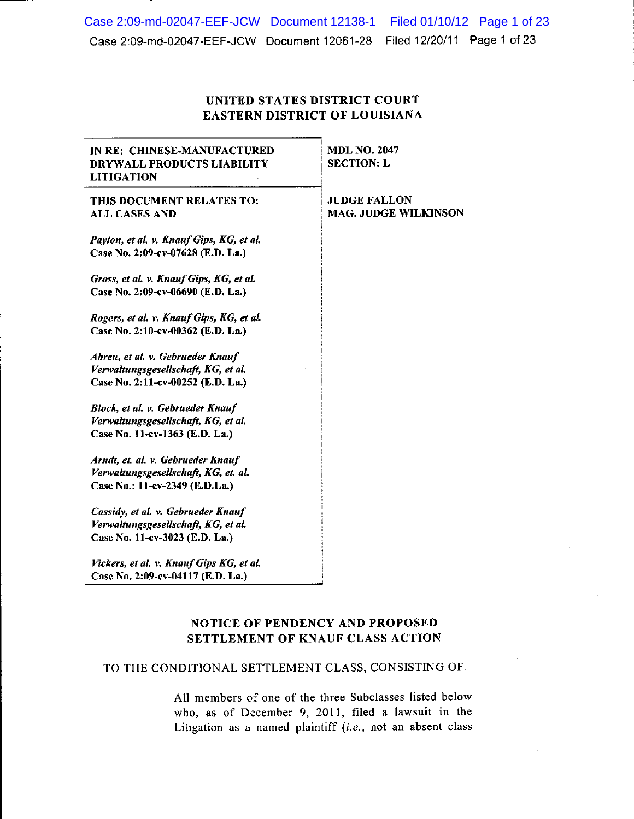Case 2:09-md-02047-EEF-JCW Document 12138-1 Filed 01/10/12 Page 1 of 23 Case 2:09-md-02047-EEF-JCW Document 12061-28 Filed 12/20/11 Page 1 of 23

# UNITED STATES DISTRICT COURT **EASTERN DISTRICT OF LOUISIANA**

| IN RE: CHINESE-MANUFACTURED<br>DRYWALL PRODUCTS LIABILITY<br><b>LITIGATION</b>                               | <b>MDL NO. 2047</b><br><b>SECTION: L</b>           |
|--------------------------------------------------------------------------------------------------------------|----------------------------------------------------|
| THIS DOCUMENT RELATES TO:<br><b>ALL CASES AND</b>                                                            | <b>JUDGE FALLON</b><br><b>MAG. JUDGE WILKINSON</b> |
| Payton, et al. v. Knauf Gips, KG, et al.<br>Case No. 2:09-cv-07628 (E.D. La.)                                |                                                    |
| Gross, et al. v. Knauf Gips, KG, et al.<br>Case No. 2:09-cv-06690 (E.D. La.)                                 |                                                    |
| Rogers, et al. v. Knauf Gips, KG, et al.<br>Case No. 2:10-cv-00362 (E.D. La.)                                |                                                    |
| Abreu, et al. v. Gebrueder Knauf<br>Verwaltungsgesellschaft, KG, et al.<br>Case No. 2:11-cv-00252 (E.D. La.) |                                                    |
| Block, et al. v. Gebrueder Knauf<br>Verwaltungsgesellschaft, KG, et al.<br>Case No. 11-cv-1363 (E.D. La.)    |                                                    |
| Arndt, et. al. v. Gebrueder Knauf<br>Verwaltungsgesellschaft, KG, et. al.<br>Case No.: 11-cv-2349 (E.D.La.)  |                                                    |
| Cassidy, et al. v. Gebrueder Knauf<br>Verwaltungsgesellschaft, KG, et al.<br>Case No. 11-cv-3023 (E.D. La.)  |                                                    |
| Vickers, et al. v. Knauf Gips KG, et al.<br>Case No. 2:09-cv-04117 (E.D. La.)                                |                                                    |

# NOTICE OF PENDENCY AND PROPOSED SETTLEMENT OF KNAUF CLASS ACTION

## TO THE CONDITIONAL SETTLEMENT CLASS, CONSISTING OF:

All members of one of the three Subclasses listed below who, as of December 9, 2011, filed a lawsuit in the Litigation as a named plaintiff  $(i.e., not an absent class)$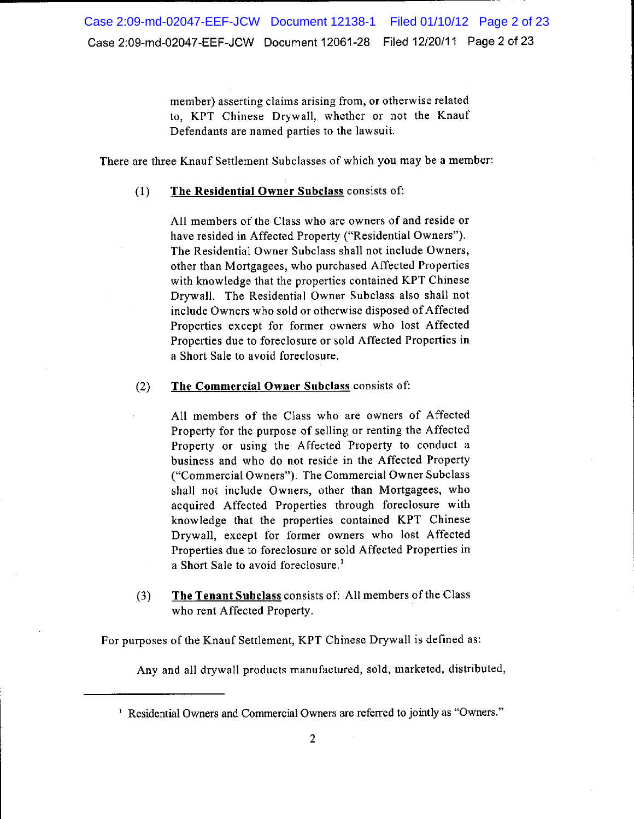member) asserting claims arising from, or otherwise related to, KPT Chinese Drywall, whether or not the Knauf Defendants are named parties to the lawsuit.

There are three Knauf Settlement Subclasses of which you may be a member:

#### The Residential Owner Subclass consists of:  $(1)$

All members of the Class who are owners of and reside or have resided in Affected Property ("Residential Owners"). The Residential Owner Subclass shall not include Owners, other than Mortgagees, who purchased Affected Properties with knowledge that the properties contained KPT Chinese Drywall. The Residential Owner Subclass also shall not include Owners who sold or otherwise disposed of Affected Properties except for former owners who lost Affected Properties due to foreclosure or sold Affected Properties in a Short Sale to avoid foreclosure.

#### The Commercial Owner Subclass consists of:  $(2)$

All members of the Class who are owners of Affected Property for the purpose of selling or renting the Affected Property or using the Affected Property to conduct a business and who do not reside in the Affected Property ("Commercial Owners"). The Commercial Owner Subclass shall not include Owners, other than Mortgagees, who acquired Affected Properties through foreclosure with knowledge that the properties contained KPT Chinese Drywall, except for former owners who lost Affected Properties due to foreclosure or sold Affected Properties in a Short Sale to avoid foreclosure.<sup>1</sup>

The Tenant Subclass consists of: All members of the Class  $(3)$ who rent Affected Property.

For purposes of the Knauf Settlement, KPT Chinese Drywall is defined as:

Any and all drywall products manufactured, sold, marketed, distributed,

<sup>&</sup>lt;sup>1</sup> Residential Owners and Commercial Owners are referred to jointly as "Owners."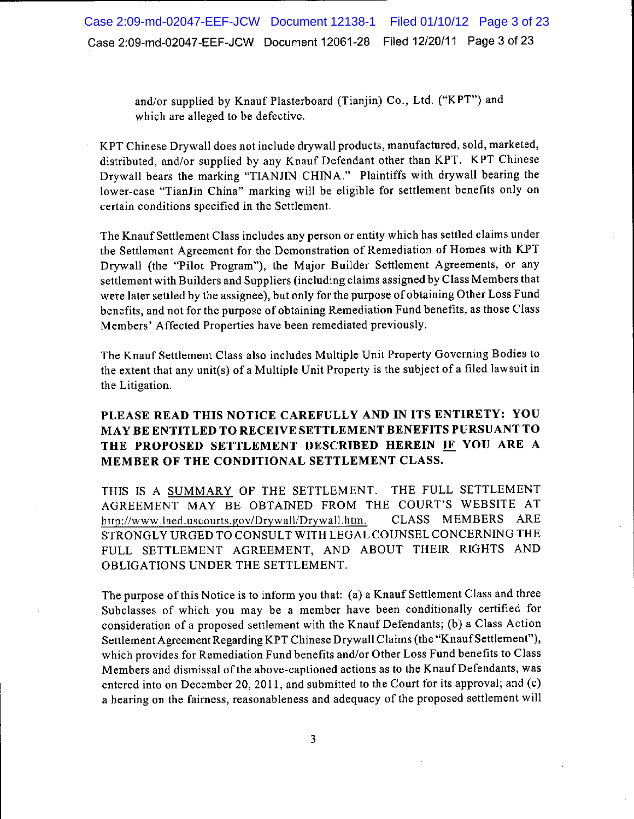and/or supplied by Knauf Plasterboard (Tianjin) Co., Ltd. ("KPT") and which are alleged to be defective.

KPT Chinese Drywall does not include drywall products, manufactured, sold, marketed, distributed, and/or supplied by any Knauf Defendant other than KPT. KPT Chinese Drywall bears the marking "TIANJIN CHINA." Plaintiffs with drywall bearing the lower-case "TianJin China" marking will be eligible for settlement benefits only on certain conditions specified in the Settlement.

The Knauf Settlement Class includes any person or entity which has settled claims under the Settlement Agreement for the Demonstration of Remediation of Homes with KPT Drywall (the "Pilot Program"), the Major Builder Settlement Agreements, or any settlement with Builders and Suppliers (including claims assigned by Class Members that were later settled by the assignee), but only for the purpose of obtaining Other Loss Fund benefits, and not for the purpose of obtaining Remediation Fund benefits, as those Class Members' Affected Properties have been remediated previously.

The Knauf Settlement Class also includes Multiple Unit Property Governing Bodies to the extent that any unit(s) of a Multiple Unit Property is the subject of a filed lawsuit in the Litigation.

# PLEASE READ THIS NOTICE CAREFULLY AND IN ITS ENTIRETY: YOU MAY BE ENTITLED TO RECEIVE SETTLEMENT BENEFITS PURSUANT TO THE PROPOSED SETTLEMENT DESCRIBED HEREIN IF YOU ARE A MEMBER OF THE CONDITIONAL SETTLEMENT CLASS.

THE FULL SETTLEMENT THIS IS A SUMMARY OF THE SETTLEMENT. AGREEMENT MAY BE OBTAINED FROM THE COURT'S WEBSITE AT CLASS MEMBERS ARE http://www.laed.uscourts.gov/Drywall/Drywall.htm. STRONGLY URGED TO CONSULT WITH LEGAL COUNSEL CONCERNING THE FULL SETTLEMENT AGREEMENT, AND ABOUT THEIR RIGHTS AND OBLIGATIONS UNDER THE SETTLEMENT.

The purpose of this Notice is to inform you that: (a) a Knauf Settlement Class and three Subclasses of which you may be a member have been conditionally certified for consideration of a proposed settlement with the Knauf Defendants; (b) a Class Action Settlement Agreement Regarding KPT Chinese Drywall Claims (the "Knauf Settlement"), which provides for Remediation Fund benefits and/or Other Loss Fund benefits to Class Members and dismissal of the above-captioned actions as to the Knauf Defendants, was entered into on December 20, 2011, and submitted to the Court for its approval; and (c) a hearing on the fairness, reasonableness and adequacy of the proposed settlement will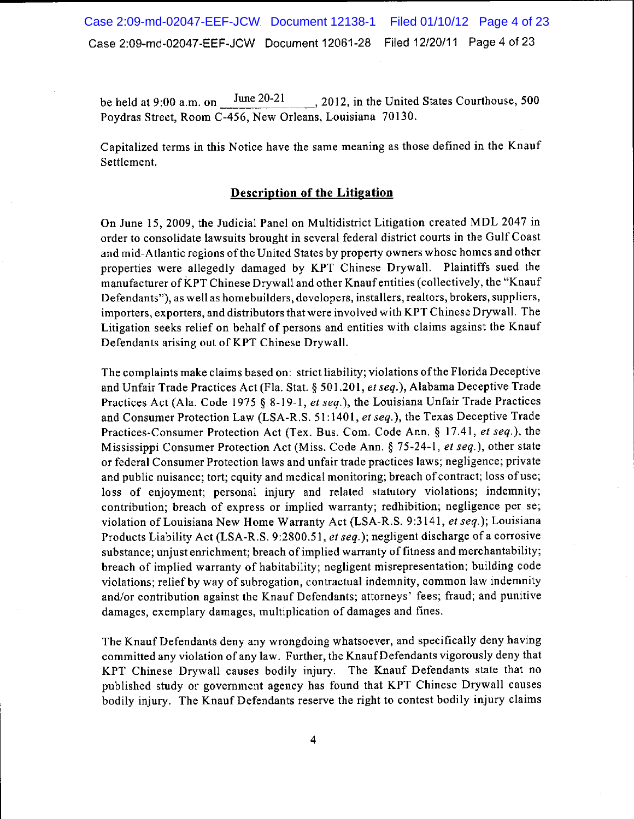Case 2:09-md-02047-EEF-JCW Document 12138-1 Filed 01/10/12 Page 4 of 23 Case 2:09-md-02047-EEF-JCW Document 12061-28 Filed 12/20/11 Page 4 of 23

June  $20-21$ , 2012, in the United States Courthouse, 500 be held at 9:00 a.m. on Poydras Street, Room C-456, New Orleans, Louisiana 70130.

Capitalized terms in this Notice have the same meaning as those defined in the Knauf Settlement.

## **Description of the Litigation**

On June 15, 2009, the Judicial Panel on Multidistrict Litigation created MDL 2047 in order to consolidate lawsuits brought in several federal district courts in the Gulf Coast and mid-Atlantic regions of the United States by property owners whose homes and other properties were allegedly damaged by KPT Chinese Drywall. Plaintiffs sued the manufacturer of KPT Chinese Drywall and other Knauf entities (collectively, the "Knauf Defendants"), as well as homebuilders, developers, installers, realtors, brokers, suppliers, importers, exporters, and distributors that were involved with KPT Chinese Drywall. The Litigation seeks relief on behalf of persons and entities with claims against the Knauf Defendants arising out of KPT Chinese Drywall.

The complaints make claims based on: strict liability; violations of the Florida Deceptive and Unfair Trade Practices Act (Fla. Stat. § 501.201, et seq.), Alabama Deceptive Trade Practices Act (Ala. Code 1975 § 8-19-1, et seq.), the Louisiana Unfair Trade Practices and Consumer Protection Law (LSA-R.S. 51:1401, et seq.), the Texas Deceptive Trade Practices-Consumer Protection Act (Tex. Bus. Com. Code Ann. § 17.41, et seq.), the Mississippi Consumer Protection Act (Miss. Code Ann. § 75-24-1, et seq.), other state or federal Consumer Protection laws and unfair trade practices laws; negligence; private and public nuisance; tort; equity and medical monitoring; breach of contract; loss of use; loss of enjoyment; personal injury and related statutory violations; indemnity; contribution; breach of express or implied warranty; redhibition; negligence per se; violation of Louisiana New Home Warranty Act (LSA-R.S. 9:3141, et seq.); Louisiana Products Liability Act (LSA-R.S. 9:2800.51, et seq.); negligent discharge of a corrosive substance; unjust enrichment; breach of implied warranty of fitness and merchantability; breach of implied warranty of habitability; negligent misrepresentation; building code violations; relief by way of subrogation, contractual indemnity, common law indemnity and/or contribution against the Knauf Defendants; attorneys' fees; fraud; and punitive damages, exemplary damages, multiplication of damages and fines.

The Knauf Defendants deny any wrongdoing whatsoever, and specifically deny having committed any violation of any law. Further, the Knauf Defendants vigorously deny that KPT Chinese Drywall causes bodily injury. The Knauf Defendants state that no published study or government agency has found that KPT Chinese Drywall causes bodily injury. The Knauf Defendants reserve the right to contest bodily injury claims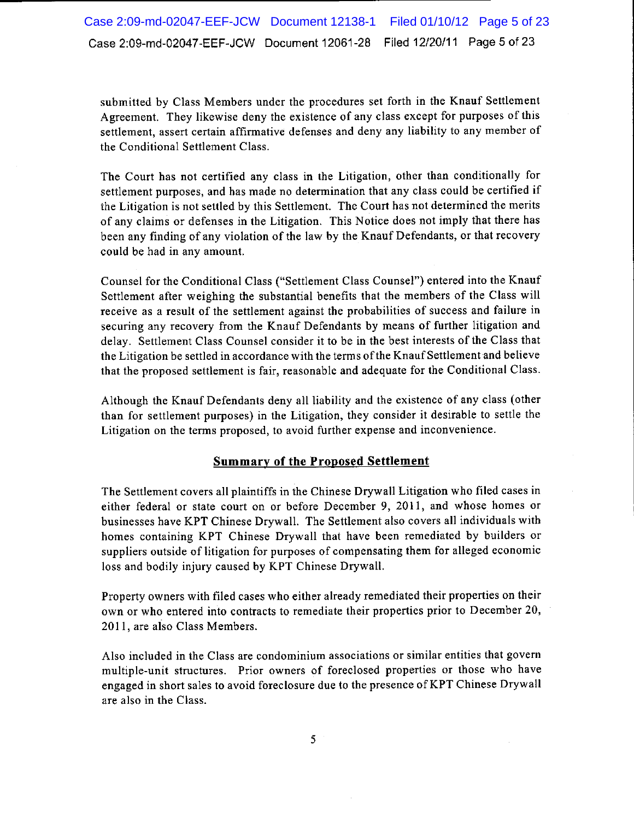submitted by Class Members under the procedures set forth in the Knauf Settlement Agreement. They likewise deny the existence of any class except for purposes of this settlement, assert certain affirmative defenses and deny any liability to any member of the Conditional Settlement Class.

The Court has not certified any class in the Litigation, other than conditionally for settlement purposes, and has made no determination that any class could be certified if the Litigation is not settled by this Settlement. The Court has not determined the merits of any claims or defenses in the Litigation. This Notice does not imply that there has been any finding of any violation of the law by the Knauf Defendants, or that recovery could be had in any amount.

Counsel for the Conditional Class ("Settlement Class Counsel") entered into the Knauf Settlement after weighing the substantial benefits that the members of the Class will receive as a result of the settlement against the probabilities of success and failure in securing any recovery from the Knauf Defendants by means of further litigation and delay. Settlement Class Counsel consider it to be in the best interests of the Class that the Litigation be settled in accordance with the terms of the Knauf Settlement and believe that the proposed settlement is fair, reasonable and adequate for the Conditional Class.

Although the Knauf Defendants deny all liability and the existence of any class (other than for settlement purposes) in the Litigation, they consider it desirable to settle the Litigation on the terms proposed, to avoid further expense and inconvenience.

## **Summary of the Proposed Settlement**

The Settlement covers all plaintiffs in the Chinese Drywall Litigation who filed cases in either federal or state court on or before December 9, 2011, and whose homes or businesses have KPT Chinese Drywall. The Settlement also covers all individuals with homes containing KPT Chinese Drywall that have been remediated by builders or suppliers outside of litigation for purposes of compensating them for alleged economic loss and bodily injury caused by KPT Chinese Drywall.

Property owners with filed cases who either already remediated their properties on their own or who entered into contracts to remediate their properties prior to December 20, 2011, are also Class Members.

Also included in the Class are condominium associations or similar entities that govern multiple-unit structures. Prior owners of foreclosed properties or those who have engaged in short sales to avoid foreclosure due to the presence of KPT Chinese Drywall are also in the Class.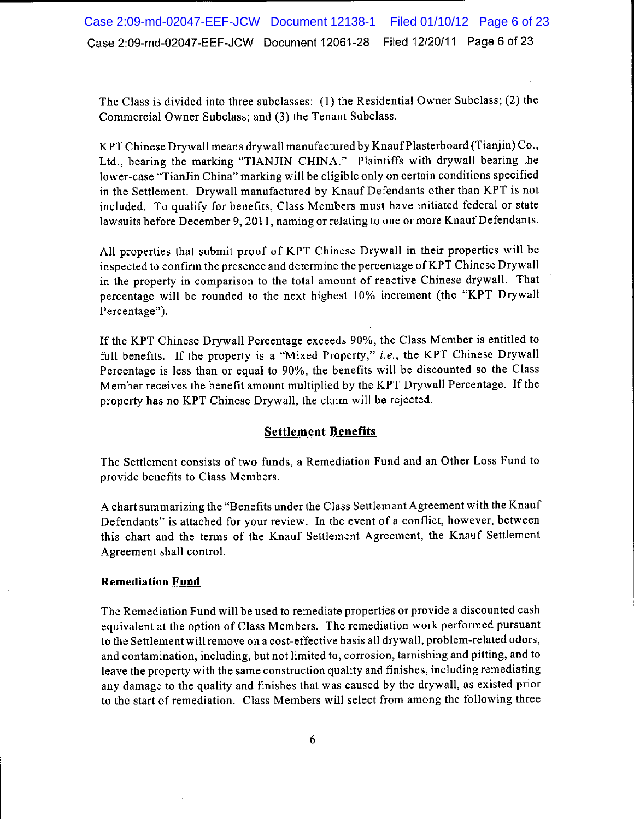Case 2:09-md-02047-EEF-JCW Document 12138-1 Filed 01/10/12 Page 6 of 23 Case 2:09-md-02047-EEF-JCW Document 12061-28 Filed 12/20/11 Page 6 of 23

The Class is divided into three subclasses: (1) the Residential Owner Subclass; (2) the Commercial Owner Subclass; and (3) the Tenant Subclass.

KPT Chinese Drywall means drywall manufactured by Knauf Plasterboard (Tianjin) Co., Ltd., bearing the marking "TIANJIN CHINA." Plaintiffs with drywall bearing the lower-case "TianJin China" marking will be eligible only on certain conditions specified in the Settlement. Drywall manufactured by Knauf Defendants other than KPT is not included. To qualify for benefits, Class Members must have initiated federal or state lawsuits before December 9, 2011, naming or relating to one or more Knauf Defendants.

All properties that submit proof of KPT Chinese Drywall in their properties will be inspected to confirm the presence and determine the percentage of KPT Chinese Drywall in the property in comparison to the total amount of reactive Chinese drywall. That percentage will be rounded to the next highest 10% increment (the "KPT Drywall Percentage").

If the KPT Chinese Drywall Percentage exceeds 90%, the Class Member is entitled to full benefits. If the property is a "Mixed Property," i.e., the KPT Chinese Drywall Percentage is less than or equal to 90%, the benefits will be discounted so the Class Member receives the benefit amount multiplied by the KPT Drywall Percentage. If the property has no KPT Chinese Drywall, the claim will be rejected.

## **Settlement Benefits**

The Settlement consists of two funds, a Remediation Fund and an Other Loss Fund to provide benefits to Class Members.

A chart summarizing the "Benefits under the Class Settlement Agreement with the Knauf Defendants" is attached for your review. In the event of a conflict, however, between this chart and the terms of the Knauf Settlement Agreement, the Knauf Settlement Agreement shall control.

#### **Remediation Fund**

The Remediation Fund will be used to remediate properties or provide a discounted cash equivalent at the option of Class Members. The remediation work performed pursuant to the Settlement will remove on a cost-effective basis all drywall, problem-related odors, and contamination, including, but not limited to, corrosion, tarnishing and pitting, and to leave the property with the same construction quality and finishes, including remediating any damage to the quality and finishes that was caused by the drywall, as existed prior to the start of remediation. Class Members will select from among the following three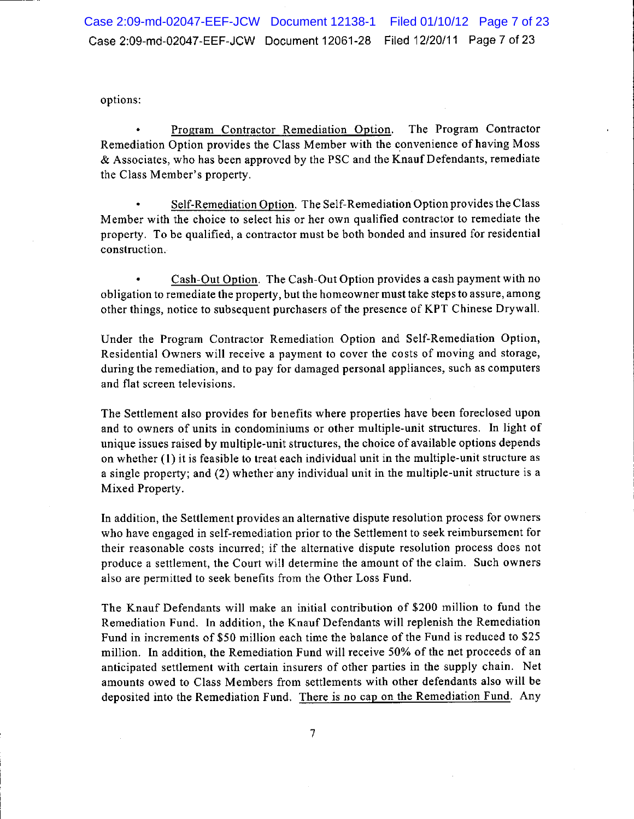options:

Program Contractor Remediation Option. The Program Contractor Remediation Option provides the Class Member with the convenience of having Moss & Associates, who has been approved by the PSC and the Knauf Defendants, remediate the Class Member's property.

Self-Remediation Option. The Self-Remediation Option provides the Class Member with the choice to select his or her own qualified contractor to remediate the property. To be qualified, a contractor must be both bonded and insured for residential construction.

Cash-Out Option. The Cash-Out Option provides a cash payment with no obligation to remediate the property, but the homeowner must take steps to assure, among other things, notice to subsequent purchasers of the presence of KPT Chinese Drywall.

Under the Program Contractor Remediation Option and Self-Remediation Option, Residential Owners will receive a payment to cover the costs of moving and storage, during the remediation, and to pay for damaged personal appliances, such as computers and flat screen televisions.

The Settlement also provides for benefits where properties have been foreclosed upon and to owners of units in condominiums or other multiple-unit structures. In light of unique issues raised by multiple-unit structures, the choice of available options depends on whether (1) it is feasible to treat each individual unit in the multiple-unit structure as a single property; and (2) whether any individual unit in the multiple-unit structure is a Mixed Property.

In addition, the Settlement provides an alternative dispute resolution process for owners who have engaged in self-remediation prior to the Settlement to seek reimbursement for their reasonable costs incurred; if the alternative dispute resolution process does not produce a settlement, the Court will determine the amount of the claim. Such owners also are permitted to seek benefits from the Other Loss Fund.

The Knauf Defendants will make an initial contribution of \$200 million to fund the Remediation Fund. In addition, the Knauf Defendants will replenish the Remediation Fund in increments of \$50 million each time the balance of the Fund is reduced to \$25 million. In addition, the Remediation Fund will receive 50% of the net proceeds of an anticipated settlement with certain insurers of other parties in the supply chain. Net amounts owed to Class Members from settlements with other defendants also will be deposited into the Remediation Fund. There is no cap on the Remediation Fund. Any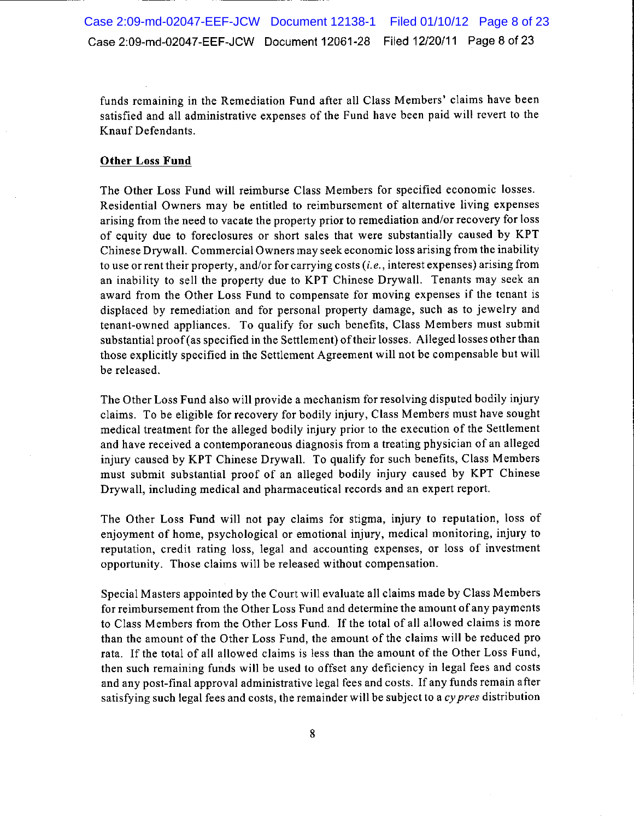funds remaining in the Remediation Fund after all Class Members' claims have been satisfied and all administrative expenses of the Fund have been paid will revert to the Knauf Defendants.

## **Other Loss Fund**

The Other Loss Fund will reimburse Class Members for specified economic losses. Residential Owners may be entitled to reimbursement of alternative living expenses arising from the need to vacate the property prior to remediation and/or recovery for loss of equity due to foreclosures or short sales that were substantially caused by KPT Chinese Drywall. Commercial Owners may seek economic loss arising from the inability to use or rent their property, and/or for carrying costs (*i.e.*, interest expenses) arising from an inability to sell the property due to KPT Chinese Drywall. Tenants may seek an award from the Other Loss Fund to compensate for moving expenses if the tenant is displaced by remediation and for personal property damage, such as to jewelry and tenant-owned appliances. To qualify for such benefits, Class Members must submit substantial proof (as specified in the Settlement) of their losses. Alleged losses other than those explicitly specified in the Settlement Agreement will not be compensable but will be released.

The Other Loss Fund also will provide a mechanism for resolving disputed bodily injury claims. To be eligible for recovery for bodily injury, Class Members must have sought medical treatment for the alleged bodily injury prior to the execution of the Settlement and have received a contemporaneous diagnosis from a treating physician of an alleged injury caused by KPT Chinese Drywall. To qualify for such benefits, Class Members must submit substantial proof of an alleged bodily injury caused by KPT Chinese Drywall, including medical and pharmaceutical records and an expert report.

The Other Loss Fund will not pay claims for stigma, injury to reputation, loss of enjoyment of home, psychological or emotional injury, medical monitoring, injury to reputation, credit rating loss, legal and accounting expenses, or loss of investment opportunity. Those claims will be released without compensation.

Special Masters appointed by the Court will evaluate all claims made by Class Members for reimbursement from the Other Loss Fund and determine the amount of any payments to Class Members from the Other Loss Fund. If the total of all allowed claims is more than the amount of the Other Loss Fund, the amount of the claims will be reduced pro rata. If the total of all allowed claims is less than the amount of the Other Loss Fund, then such remaining funds will be used to offset any deficiency in legal fees and costs and any post-final approval administrative legal fees and costs. If any funds remain after satisfying such legal fees and costs, the remainder will be subject to a cy pres distribution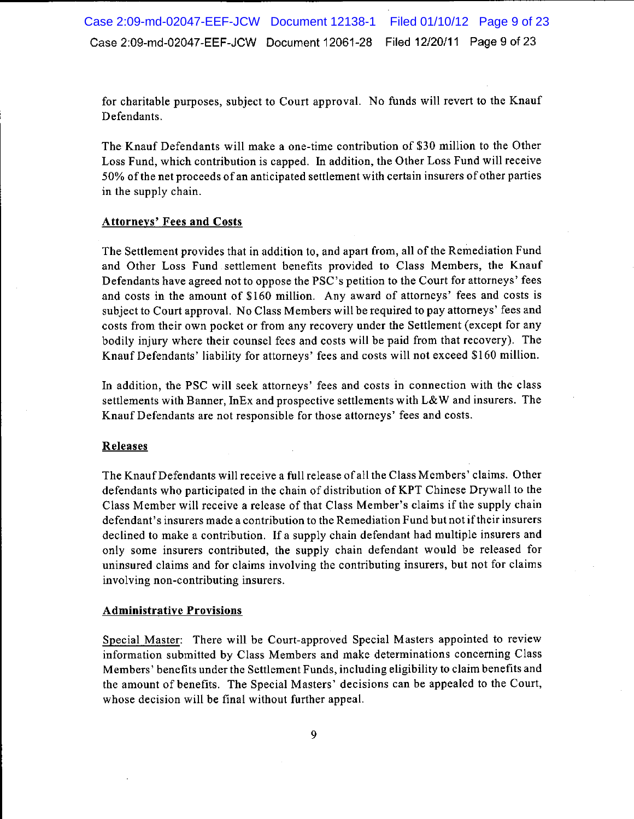for charitable purposes, subject to Court approval. No funds will revert to the Knauf Defendants.

The Knauf Defendants will make a one-time contribution of \$30 million to the Other Loss Fund, which contribution is capped. In addition, the Other Loss Fund will receive 50% of the net proceeds of an anticipated settlement with certain insurers of other parties in the supply chain.

## **Attorneys' Fees and Costs**

The Settlement provides that in addition to, and apart from, all of the Remediation Fund and Other Loss Fund settlement benefits provided to Class Members, the Knauf Defendants have agreed not to oppose the PSC's petition to the Court for attorneys' fees and costs in the amount of \$160 million. Any award of attorneys' fees and costs is subject to Court approval. No Class Members will be required to pay attorneys' fees and costs from their own pocket or from any recovery under the Settlement (except for any bodily injury where their counsel fees and costs will be paid from that recovery). The Knauf Defendants' liability for attorneys' fees and costs will not exceed \$160 million.

In addition, the PSC will seek attorneys' fees and costs in connection with the class settlements with Banner, InEx and prospective settlements with L&W and insurers. The Knauf Defendants are not responsible for those attorneys' fees and costs.

### Releases

The Knauf Defendants will receive a full release of all the Class Members' claims. Other defendants who participated in the chain of distribution of KPT Chinese Drywall to the Class Member will receive a release of that Class Member's claims if the supply chain defendant's insurers made a contribution to the Remediation Fund but not if their insurers declined to make a contribution. If a supply chain defendant had multiple insurers and only some insurers contributed, the supply chain defendant would be released for uninsured claims and for claims involving the contributing insurers, but not for claims involving non-contributing insurers.

### **Administrative Provisions**

Special Master: There will be Court-approved Special Masters appointed to review information submitted by Class Members and make determinations concerning Class Members' benefits under the Settlement Funds, including eligibility to claim benefits and the amount of benefits. The Special Masters' decisions can be appealed to the Court, whose decision will be final without further appeal.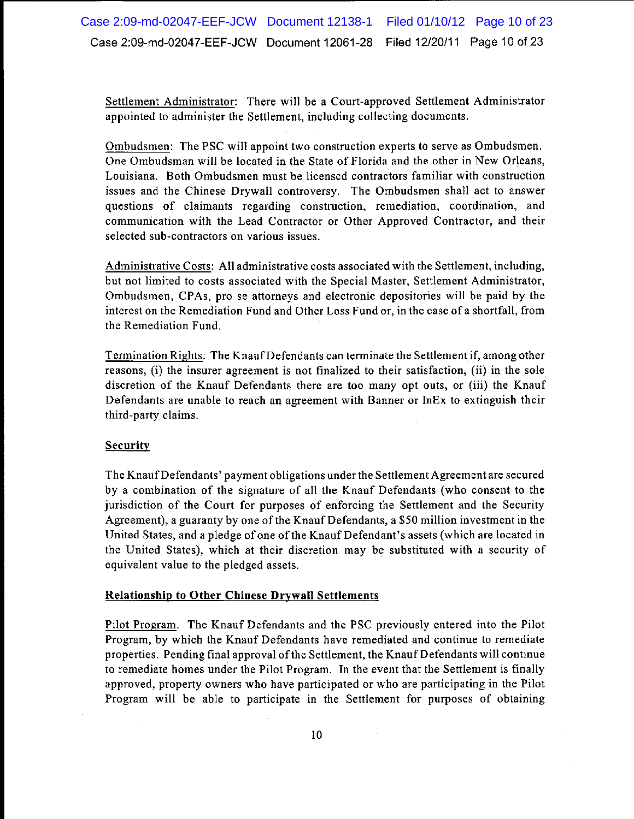Settlement Administrator: There will be a Court-approved Settlement Administrator appointed to administer the Settlement, including collecting documents.

Ombudsmen: The PSC will appoint two construction experts to serve as Ombudsmen. One Ombudsman will be located in the State of Florida and the other in New Orleans, Louisiana. Both Ombudsmen must be licensed contractors familiar with construction issues and the Chinese Drywall controversy. The Ombudsmen shall act to answer questions of claimants regarding construction, remediation, coordination, and communication with the Lead Contractor or Other Approved Contractor, and their selected sub-contractors on various issues.

Administrative Costs: All administrative costs associated with the Settlement, including, but not limited to costs associated with the Special Master, Settlement Administrator, Ombudsmen, CPAs, pro se attorneys and electronic depositories will be paid by the interest on the Remediation Fund and Other Loss Fund or, in the case of a shortfall, from the Remediation Fund.

Termination Rights: The Knauf Defendants can terminate the Settlement if, among other reasons, (i) the insurer agreement is not finalized to their satisfaction, (ii) in the sole discretion of the Knauf Defendants there are too many opt outs, or (iii) the Knauf Defendants are unable to reach an agreement with Banner or InEx to extinguish their third-party claims.

# **Security**

The Knauf Defendants' payment obligations under the Settlement Agreement are secured by a combination of the signature of all the Knauf Defendants (who consent to the jurisdiction of the Court for purposes of enforcing the Settlement and the Security Agreement), a guaranty by one of the Knauf Defendants, a \$50 million investment in the United States, and a pledge of one of the Knauf Defendant's assets (which are located in the United States), which at their discretion may be substituted with a security of equivalent value to the pledged assets.

## **Relationship to Other Chinese Drywall Settlements**

Pilot Program. The Knauf Defendants and the PSC previously entered into the Pilot Program, by which the Knauf Defendants have remediated and continue to remediate properties. Pending final approval of the Settlement, the Knauf Defendants will continue to remediate homes under the Pilot Program. In the event that the Settlement is finally approved, property owners who have participated or who are participating in the Pilot Program will be able to participate in the Settlement for purposes of obtaining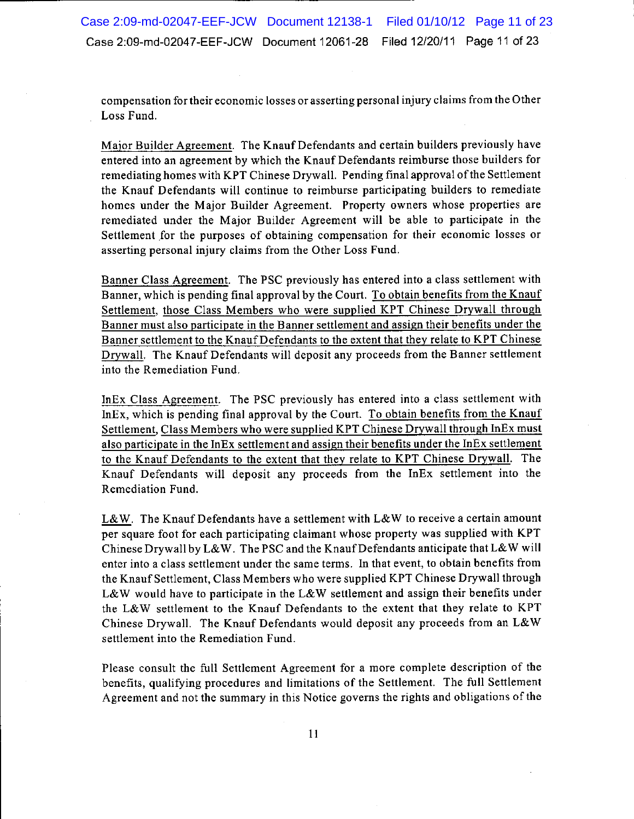compensation for their economic losses or asserting personal injury claims from the Other Loss Fund.

Major Builder Agreement. The Knauf Defendants and certain builders previously have entered into an agreement by which the Knauf Defendants reimburse those builders for remediating homes with KPT Chinese Drywall. Pending final approval of the Settlement the Knauf Defendants will continue to reimburse participating builders to remediate homes under the Major Builder Agreement. Property owners whose properties are remediated under the Major Builder Agreement will be able to participate in the Settlement for the purposes of obtaining compensation for their economic losses or asserting personal injury claims from the Other Loss Fund.

Banner Class Agreement. The PSC previously has entered into a class settlement with Banner, which is pending final approval by the Court. To obtain benefits from the Knauf Settlement, those Class Members who were supplied KPT Chinese Drywall through Banner must also participate in the Banner settlement and assign their benefits under the Banner settlement to the Knauf Defendants to the extent that they relate to KPT Chinese Drywall. The Knauf Defendants will deposit any proceeds from the Banner settlement into the Remediation Fund.

In Ex Class Agreement. The PSC previously has entered into a class settlement with InEx, which is pending final approval by the Court. To obtain benefits from the Knauf Settlement, Class Members who were supplied KPT Chinese Drywall through InEx must also participate in the InEx settlement and assign their benefits under the InEx settlement to the Knauf Defendants to the extent that they relate to KPT Chinese Drywall. The Knauf Defendants will deposit any proceeds from the InEx settlement into the Remediation Fund.

L&W. The Knauf Defendants have a settlement with L&W to receive a certain amount per square foot for each participating claimant whose property was supplied with KPT Chinese Drywall by L&W. The PSC and the Knauf Defendants anticipate that L&W will enter into a class settlement under the same terms. In that event, to obtain benefits from the Knauf Settlement, Class Members who were supplied KPT Chinese Drywall through L&W would have to participate in the L&W settlement and assign their benefits under the L&W settlement to the Knauf Defendants to the extent that they relate to KPT Chinese Drywall. The Knauf Defendants would deposit any proceeds from an L&W settlement into the Remediation Fund.

Please consult the full Settlement Agreement for a more complete description of the benefits, qualifying procedures and limitations of the Settlement. The full Settlement Agreement and not the summary in this Notice governs the rights and obligations of the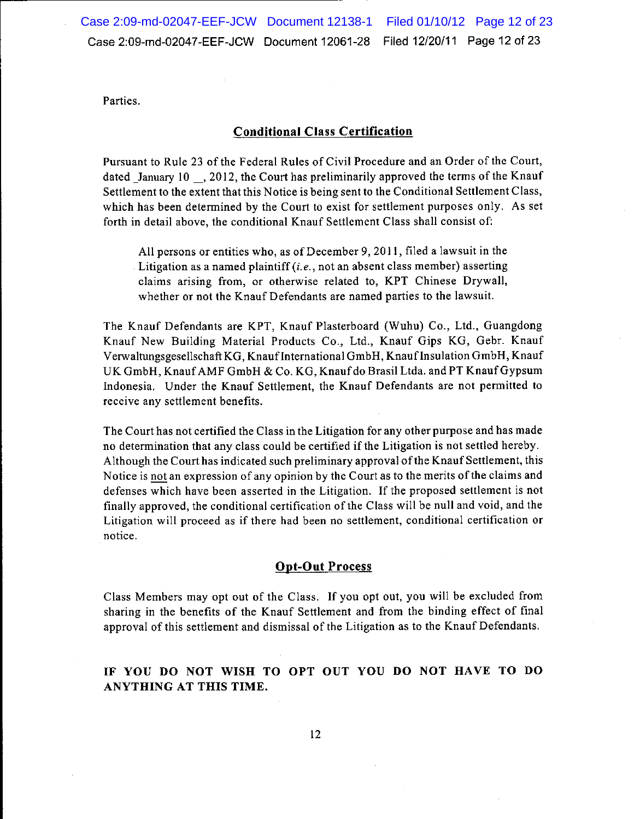Parties.

# **Conditional Class Certification**

Pursuant to Rule 23 of the Federal Rules of Civil Procedure and an Order of the Court, dated January 10, 2012, the Court has preliminarily approved the terms of the Knauf Settlement to the extent that this Notice is being sent to the Conditional Settlement Class, which has been determined by the Court to exist for settlement purposes only. As set forth in detail above, the conditional Knauf Settlement Class shall consist of:

All persons or entities who, as of December 9, 2011, filed a lawsuit in the Litigation as a named plaintiff  $(i.e., not an absent class member)$  asserting claims arising from, or otherwise related to, KPT Chinese Drywall, whether or not the Knauf Defendants are named parties to the lawsuit.

The Knauf Defendants are KPT, Knauf Plasterboard (Wuhu) Co., Ltd., Guangdong Knauf New Building Material Products Co., Ltd., Knauf Gips KG, Gebr. Knauf Verwaltungsgesellschaft KG, Knauf International GmbH, Knauf Insulation GmbH, Knauf UK GmbH, Knauf AMF GmbH & Co. KG, Knauf do Brasil Ltda. and PT Knauf Gypsum Indonesia. Under the Knauf Settlement, the Knauf Defendants are not permitted to receive any settlement benefits.

The Court has not certified the Class in the Litigation for any other purpose and has made no determination that any class could be certified if the Litigation is not settled hereby. Although the Court has indicated such preliminary approval of the Knauf Settlement, this Notice is not an expression of any opinion by the Court as to the merits of the claims and defenses which have been asserted in the Litigation. If the proposed settlement is not finally approved, the conditional certification of the Class will be null and void, and the Litigation will proceed as if there had been no settlement, conditional certification or notice.

# **Opt-Out Process**

Class Members may opt out of the Class. If you opt out, you will be excluded from sharing in the benefits of the Knauf Settlement and from the binding effect of final approval of this settlement and dismissal of the Litigation as to the Knauf Defendants.

# IF YOU DO NOT WISH TO OPT OUT YOU DO NOT HAVE TO DO ANYTHING AT THIS TIME.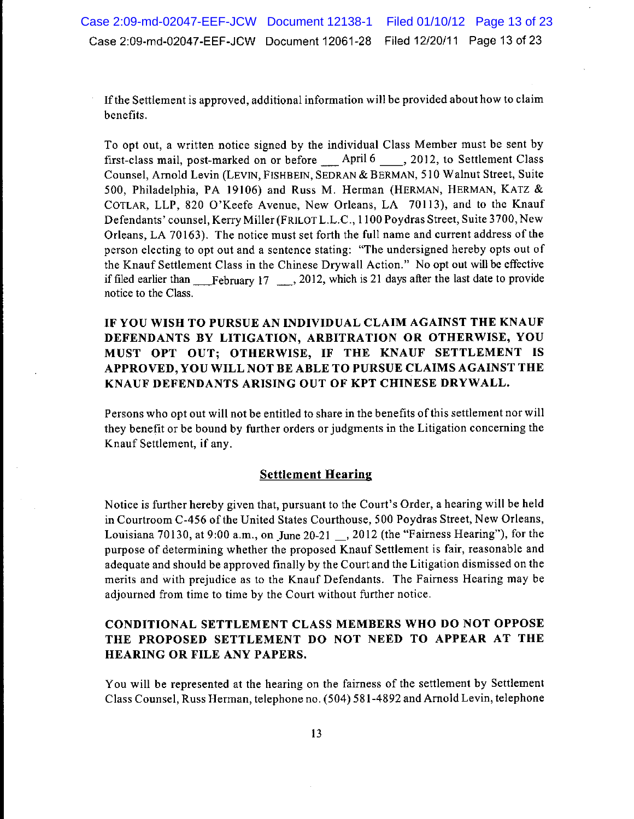If the Settlement is approved, additional information will be provided about how to claim benefits.

To opt out, a written notice signed by the individual Class Member must be sent by first-class mail, post-marked on or before April 6, 2012, to Settlement Class Counsel, Arnold Levin (LEVIN, FISHBEIN, SEDRAN & BERMAN, 510 Walnut Street, Suite 500, Philadelphia, PA 19106) and Russ M. Herman (HERMAN, HERMAN, KATZ & COTLAR, LLP, 820 O'Keefe Avenue, New Orleans, LA 70113), and to the Knauf Defendants' counsel, Kerry Miller (FRILOT L.L.C., 1100 Poydras Street, Suite 3700, New Orleans, LA 70163). The notice must set forth the full name and current address of the person electing to opt out and a sentence stating: "The undersigned hereby opts out of the Knauf Settlement Class in the Chinese Drywall Action." No opt out will be effective if filed earlier than February 17  $\ldots$ , 2012, which is 21 days after the last date to provide notice to the Class.

IF YOU WISH TO PURSUE AN INDIVIDUAL CLAIM AGAINST THE KNAUF DEFENDANTS BY LITIGATION, ARBITRATION OR OTHERWISE, YOU MUST OPT OUT; OTHERWISE, IF THE KNAUF SETTLEMENT IS APPROVED, YOU WILL NOT BE ABLE TO PURSUE CLAIMS AGAINST THE KNAUF DEFENDANTS ARISING OUT OF KPT CHINESE DRYWALL.

Persons who opt out will not be entitled to share in the benefits of this settlement nor will they benefit or be bound by further orders or judgments in the Litigation concerning the Knauf Settlement, if any.

## **Settlement Hearing**

Notice is further hereby given that, pursuant to the Court's Order, a hearing will be held in Courtroom C-456 of the United States Courthouse, 500 Poydras Street, New Orleans, Louisiana 70130, at 9:00 a.m., on June 20-21 \_\_, 2012 (the "Fairness Hearing"), for the purpose of determining whether the proposed Knauf Settlement is fair, reasonable and adequate and should be approved finally by the Court and the Litigation dismissed on the merits and with prejudice as to the Knauf Defendants. The Fairness Hearing may be adjourned from time to time by the Court without further notice.

# **CONDITIONAL SETTLEMENT CLASS MEMBERS WHO DO NOT OPPOSE** THE PROPOSED SETTLEMENT DO NOT NEED TO APPEAR AT THE HEARING OR FILE ANY PAPERS.

You will be represented at the hearing on the fairness of the settlement by Settlement Class Counsel, Russ Herman, telephone no. (504) 581-4892 and Arnold Levin, telephone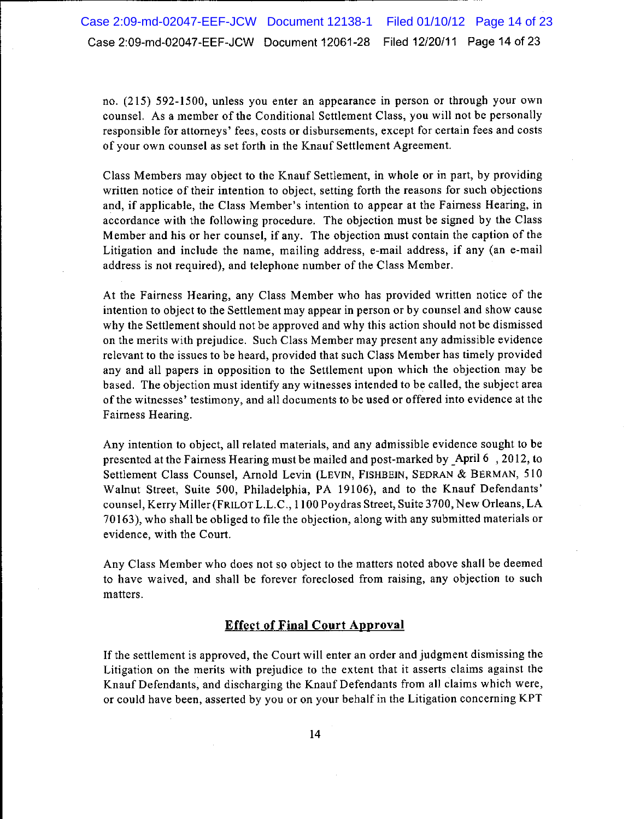no. (215) 592-1500, unless you enter an appearance in person or through your own counsel. As a member of the Conditional Settlement Class, you will not be personally responsible for attorneys' fees, costs or disbursements, except for certain fees and costs of your own counsel as set forth in the Knauf Settlement Agreement.

Class Members may object to the Knauf Settlement, in whole or in part, by providing written notice of their intention to object, setting forth the reasons for such objections and, if applicable, the Class Member's intention to appear at the Fairness Hearing, in accordance with the following procedure. The objection must be signed by the Class Member and his or her counsel, if any. The objection must contain the caption of the Litigation and include the name, mailing address, e-mail address, if any (an e-mail address is not required), and telephone number of the Class Member.

At the Fairness Hearing, any Class Member who has provided written notice of the intention to object to the Settlement may appear in person or by counsel and show cause why the Settlement should not be approved and why this action should not be dismissed on the merits with prejudice. Such Class Member may present any admissible evidence relevant to the issues to be heard, provided that such Class Member has timely provided any and all papers in opposition to the Settlement upon which the objection may be based. The objection must identify any witnesses intended to be called, the subject area of the witnesses' testimony, and all documents to be used or offered into evidence at the Fairness Hearing.

Any intention to object, all related materials, and any admissible evidence sought to be presented at the Fairness Hearing must be mailed and post-marked by April 6, 2012, to Settlement Class Counsel, Arnold Levin (LEVIN, FISHBEIN, SEDRAN & BERMAN, 510 Walnut Street, Suite 500, Philadelphia, PA 19106), and to the Knauf Defendants' counsel, Kerry Miller (FRILOT L.L.C., 1100 Poydras Street, Suite 3700, New Orleans, LA 70163), who shall be obliged to file the objection, along with any submitted materials or evidence, with the Court.

Any Class Member who does not so object to the matters noted above shall be deemed to have waived, and shall be forever foreclosed from raising, any objection to such matters.

## **Effect of Final Court Approval**

If the settlement is approved, the Court will enter an order and judgment dismissing the Litigation on the merits with prejudice to the extent that it asserts claims against the Knauf Defendants, and discharging the Knauf Defendants from all claims which were, or could have been, asserted by you or on your behalf in the Litigation concerning KPT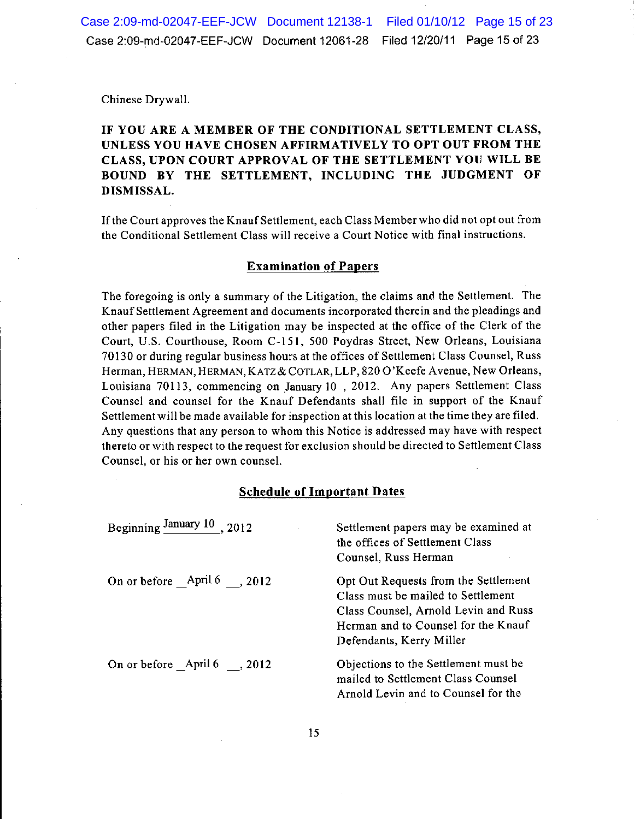Chinese Drywall.

# IF YOU ARE A MEMBER OF THE CONDITIONAL SETTLEMENT CLASS, UNLESS YOU HAVE CHOSEN AFFIRMATIVELY TO OPT OUT FROM THE CLASS, UPON COURT APPROVAL OF THE SETTLEMENT YOU WILL BE BOUND BY THE SETTLEMENT, INCLUDING THE JUDGMENT OF DISMISSAL.

If the Court approves the Knauf Settlement, each Class Member who did not opt out from the Conditional Settlement Class will receive a Court Notice with final instructions.

### **Examination of Papers**

The foregoing is only a summary of the Litigation, the claims and the Settlement. The Knauf Settlement Agreement and documents incorporated therein and the pleadings and other papers filed in the Litigation may be inspected at the office of the Clerk of the Court, U.S. Courthouse, Room C-151, 500 Poydras Street, New Orleans, Louisiana 70130 or during regular business hours at the offices of Settlement Class Counsel, Russ Herman, HERMAN, HERMAN, KATZ & COTLAR, LLP, 820 O'Keefe Avenue, New Orleans, Louisiana 70113, commencing on January 10, 2012. Any papers Settlement Class Counsel and counsel for the Knauf Defendants shall file in support of the Knauf Settlement will be made available for inspection at this location at the time they are filed. Any questions that any person to whom this Notice is addressed may have with respect thereto or with respect to the request for exclusion should be directed to Settlement Class Counsel, or his or her own counsel.

# **Schedule of Important Dates**

| Beginning January 10<br>.2012 | Settlement papers may be examined at<br>the offices of Settlement Class<br>Counsel, Russ Herman                                                                                       |
|-------------------------------|---------------------------------------------------------------------------------------------------------------------------------------------------------------------------------------|
| On or before April 6, 2012    | Opt Out Requests from the Settlement<br>Class must be mailed to Settlement<br>Class Counsel, Arnold Levin and Russ<br>Herman and to Counsel for the Knauf<br>Defendants, Kerry Miller |
| On or before April 6 .2012    | Objections to the Settlement must be<br>mailed to Settlement Class Counsel<br>Arnold Levin and to Counsel for the                                                                     |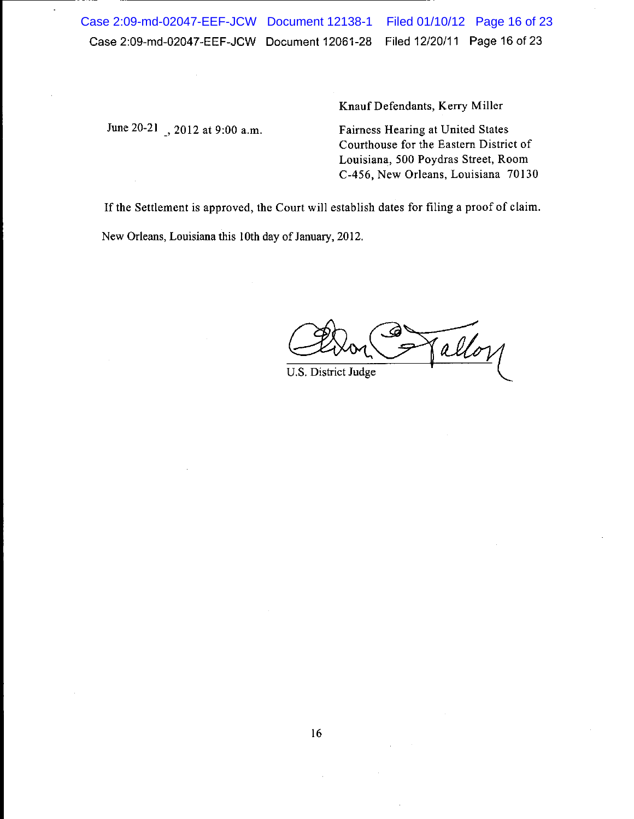Case 2:09-md-02047-EEF-JCW Document 12138-1 Filed 01/10/12 Page 16 of 23 Filed 12/20/11 Page 16 of 23 Case 2:09-md-02047-EEF-JCW Document 12061-28

June 20-21, 2012 at 9:00 a.m.

Knauf Defendants, Kerry Miller

Fairness Hearing at United States Courthouse for the Eastern District of Louisiana, 500 Poydras Street, Room C-456, New Orleans, Louisiana 70130

If the Settlement is approved, the Court will establish dates for filing a proof of claim.

New Orleans, Louisiana this 10th day of January, 2012.

allor

U.S. District Judge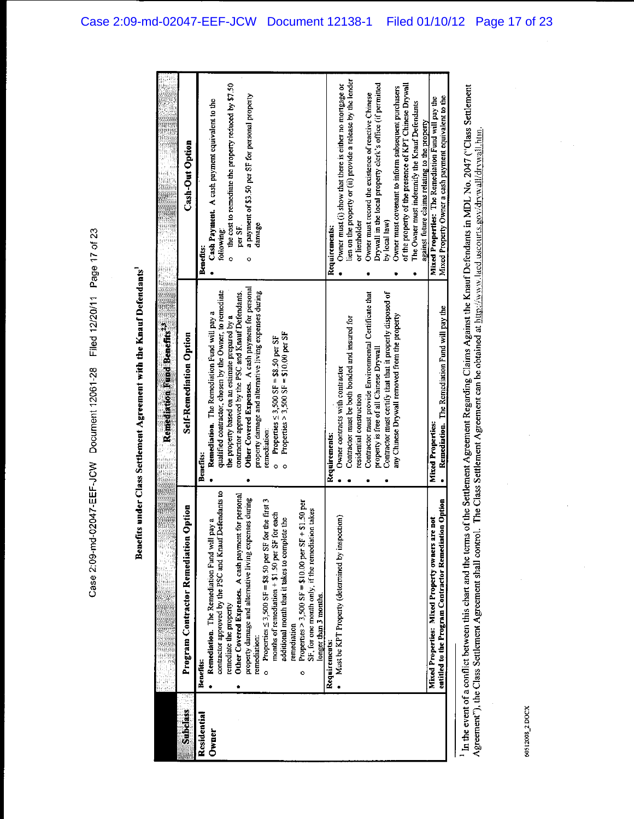|                      |                                                                                                                                                                                                                                                                                                                                                                                                                                                                                                                                                                                                                                                                                                                                                                                                    | Remediation Fund Benefits.24                                                                                                                                                                                                                                                                                                                                                                                                                                                                                                                                                                                                                                                                                                                                                                                                                                                         |                                                                                                                                                                                                                                                                                                                                                                                                                                                                                                                                                                                                                                                                                                                                                                                                                                                                  |
|----------------------|----------------------------------------------------------------------------------------------------------------------------------------------------------------------------------------------------------------------------------------------------------------------------------------------------------------------------------------------------------------------------------------------------------------------------------------------------------------------------------------------------------------------------------------------------------------------------------------------------------------------------------------------------------------------------------------------------------------------------------------------------------------------------------------------------|--------------------------------------------------------------------------------------------------------------------------------------------------------------------------------------------------------------------------------------------------------------------------------------------------------------------------------------------------------------------------------------------------------------------------------------------------------------------------------------------------------------------------------------------------------------------------------------------------------------------------------------------------------------------------------------------------------------------------------------------------------------------------------------------------------------------------------------------------------------------------------------|------------------------------------------------------------------------------------------------------------------------------------------------------------------------------------------------------------------------------------------------------------------------------------------------------------------------------------------------------------------------------------------------------------------------------------------------------------------------------------------------------------------------------------------------------------------------------------------------------------------------------------------------------------------------------------------------------------------------------------------------------------------------------------------------------------------------------------------------------------------|
| <b>Subdass</b>       | Jption<br>Program Contractor Remediation O                                                                                                                                                                                                                                                                                                                                                                                                                                                                                                                                                                                                                                                                                                                                                         | <b>Self-Remediation Option</b>                                                                                                                                                                                                                                                                                                                                                                                                                                                                                                                                                                                                                                                                                                                                                                                                                                                       | <b>Cash-Out Option</b>                                                                                                                                                                                                                                                                                                                                                                                                                                                                                                                                                                                                                                                                                                                                                                                                                                           |
| Residential<br>Owner | contractor approved by the PSC and Knauf Defendants to<br>Other Covered Expenses. A cash payment for personal<br>property damage and alternative living expenses during<br>Properties $\leq$ 3,500 SF = \$8.50 per SF for the first 3<br>n Option<br>Properties > 3,500 SF = $$10.00$ per SF + $$1.50$ per<br>takes<br>months of remediation + \$1.50 per SF for each<br>Must be KPT Property (determined by inspection)<br>additional month that it takes to complete the<br>Mixed Properties: Mixed Property owners are not<br>Remediation. The Remediation Fund will pay a<br>SF, for one month only, if the remediation<br>entitled to the Program Contractor Remediation<br>longer than 3 months.<br>remediate the property<br>remediation<br>remediation:<br>Requirements:<br>Benefits:<br>٥ | Other Covered Expenses. A cash payment for personal<br>qualified contractor, chosen by the Owner, to remediate<br>property damage and alternative living expenses during<br>contractor approved by the PSC and Knauf Defendants.<br>Contractor must certify that that it properly disposed of<br>Contractor must provide Environmental Certificate that<br>Remediation. The Remediation Fund will pay the<br>Remediation. The Remediation Fund will pay a<br>any Chinese Drywall removed from the property<br>the property based on an estimate prepared by a<br>Contractor must be both bonded and insured for<br>Properties > 3,500 SF = \$10.00 per SF<br>Properties $\leq$ 3,500 SF = \$8.50 per SF<br>property is free of all Chinese Drywall<br>Owner contracts with contractor<br>residential construction<br>Mixed Properties:<br>remediation:<br>Requirements:<br>Benefits: | lien on the property or (ii) provide a release by the lender<br>Drywall in the local property clerk's office (if permitted<br>the cost to remediate the property reduced by \$7.50<br>of the property of the presence of KPT Chinese Drywall<br>Owner must (i) show that there is either no mortgage or<br>Owner must covenant to inform subsequent purchasers<br>Owner must record the existence of reactive Chinese<br>a payment of \$3.50 per SF for personal property<br>Mixed Property Owner a cash payment equivalent to the<br>Mixed Properties: The Remediation Fund will pay the<br>Cash Payment. A cash payment equivalent to the<br>The Owner must indemnify the Knauf Defendants<br>against future claims relating to the property<br>by local law)<br>or lienholder<br>damage<br>Requirements:<br>per SF<br>following:<br>Benefits:<br>$\circ$<br>ö |
|                      |                                                                                                                                                                                                                                                                                                                                                                                                                                                                                                                                                                                                                                                                                                                                                                                                    |                                                                                                                                                                                                                                                                                                                                                                                                                                                                                                                                                                                                                                                                                                                                                                                                                                                                                      |                                                                                                                                                                                                                                                                                                                                                                                                                                                                                                                                                                                                                                                                                                                                                                                                                                                                  |
|                      | a componente de la componente de la componente de la componente de la componente de la componente de la compon                                                                                                                                                                                                                                                                                                                                                                                                                                                                                                                                                                                                                                                                                     |                                                                                                                                                                                                                                                                                                                                                                                                                                                                                                                                                                                                                                                                                                                                                                                                                                                                                      |                                                                                                                                                                                                                                                                                                                                                                                                                                                                                                                                                                                                                                                                                                                                                                                                                                                                  |
|                      |                                                                                                                                                                                                                                                                                                                                                                                                                                                                                                                                                                                                                                                                                                                                                                                                    |                                                                                                                                                                                                                                                                                                                                                                                                                                                                                                                                                                                                                                                                                                                                                                                                                                                                                      |                                                                                                                                                                                                                                                                                                                                                                                                                                                                                                                                                                                                                                                                                                                                                                                                                                                                  |

In the event of a conflict between this chart and the terms of the Settlement Agreement Regarding Claims Against the Knauf Defendants in MDL No. 2047 ("Class Settlement Agreement"), the Class Settlement Agreement shall co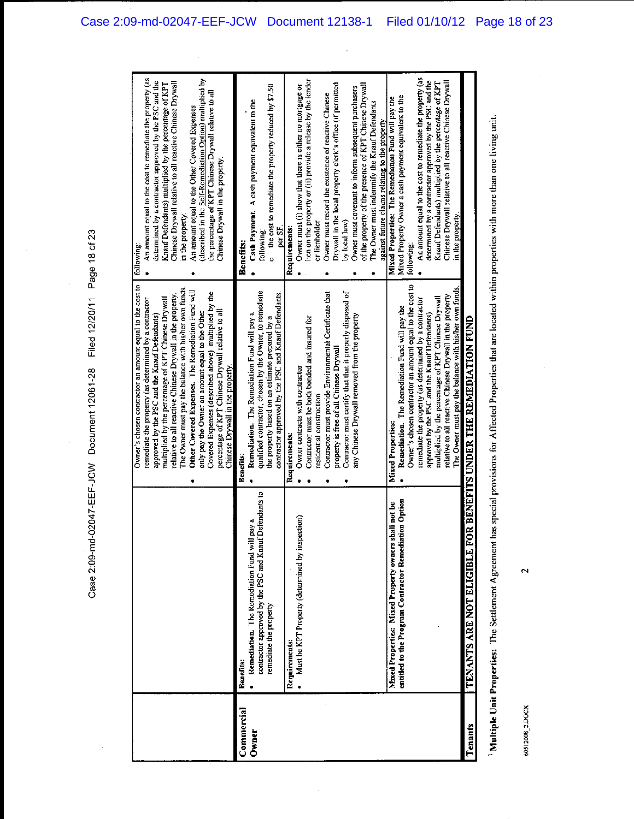Case 2:09-md-02047-EEF-JCW Document 12061-28 Filed 12/20/11 Page 18 of 23

 $\ddot{\phantom{a}}$ 

|                     |                                                                                                                                                                                                                               | Owner's chosen contractor an amount equal to the cost to<br>The Owner must pay the balance with his/her own funds.<br>Other Covered Expenses. The Remediation Fund will<br>Covered Expenses (described above) multiplied by the<br>relative to all reactive Chinese Drywall in the property.<br>multiplied by the percentage of KPT Chinese Drywall<br>emediate the property (as determined by a contractor<br>percentage of KPT Chinese Drywall relative to all<br>only pay the Owner an amount equal to the Other<br>approved by the PSC and the Knauf Defendants)<br>Chinese Drywall in the property | An amount equal to the cost to remediate the property (as<br>(described in the Self-Remediation Option) multiplied by<br>determined by a contractor approved by the PSC and the<br>Chinese Drywall relative to all reactive Chinese Drywall<br>Knauf Defendants) multiplied by the percentage of KPT<br>the percentage of KPT Chinese Drywall relative to all<br>An amount equal to the Other Covered Expenses<br>Chinese Drywall in the property<br>in the property.<br>following:                                                                                                                                 |
|---------------------|-------------------------------------------------------------------------------------------------------------------------------------------------------------------------------------------------------------------------------|---------------------------------------------------------------------------------------------------------------------------------------------------------------------------------------------------------------------------------------------------------------------------------------------------------------------------------------------------------------------------------------------------------------------------------------------------------------------------------------------------------------------------------------------------------------------------------------------------------|---------------------------------------------------------------------------------------------------------------------------------------------------------------------------------------------------------------------------------------------------------------------------------------------------------------------------------------------------------------------------------------------------------------------------------------------------------------------------------------------------------------------------------------------------------------------------------------------------------------------|
| Commercial<br>Owner | contractor approved by the PSC and Knauf Defendants to<br>Must be KPT Property (determined by inspection)<br>n\$<br>Remediation. The Remediation Fund will pay<br>remediate the property<br>Requirements:<br><b>Benefits:</b> | qualified contractor, chosen by the Owner, to remediate<br>Contractor must certify that that it properly disposed of<br>Contractor must provide Environmental Certificate that<br>contractor approved by the PSC and Knauf Defendants.<br>Remediation. The Remediation Fund will pay a<br>any Chinese Drywall removed from the property<br>the property based on an estimate prepared by a<br>Contractor must be both bonded and insured for<br>property is free of all Chinese Drywall<br>Owner contracts with contractor<br>residential construction<br>Requirements:<br><b>Benefits:</b>             | lien on the property or (ii) provide a release by the lender<br>Drywall in the local property clerk's office (if permitted<br>of the property of the presence of KPT Chinese Drywall<br>Owner must (i) show that there is either no mortgage or<br>o the cost to remediate the property reduced by \$7.50<br>Owner must covenant to inform subsequent purchasers<br>Owner must record the existence of reactive Chinese<br>Cash Payment. A cash payment equivalent to the<br>The Owner must indemnify the Knauf Defendants<br>by local law)<br>or lienholder<br>per SF.<br>Requirements:<br>following:<br>Benefits: |
|                     | Option<br>not be<br>Mixed Properties: Mixed Property owners shall<br>entitled to the Program Contractor Remediation                                                                                                           | Owner's chosen contractor an amount equal to the cost to<br>The Owner must pay the balance with his/her own funds.<br>relative to all reactive Chinese Drywall in the property.<br>multiplied by the percentage of KPT Chinese Drywall<br>remediate the property (as determined by a contractor<br>Remediation. The Remediation Fund will pay the<br>approved by the PSC and the Knauf Defendants)<br><b>Mixed Properties:</b>                                                                                                                                                                          | An amount equal to the cost to remediate the property (as<br>determined by a contractor approved by the PSC and the<br>Knauf Defendants) multiplied by the percentage of KPT<br>Chinese Drywall relative to all reactive Chinese Drywall<br>Mixed Property Owner a cash payment equivalent to the<br>Mixed Properties: The Remediation Fund will pay the<br>against future claims relating to the property<br>in the property<br>following:                                                                                                                                                                         |
| Tenants             | <b>TENANTS ARE NOT ELIGIBLE FOR</b>                                                                                                                                                                                           | <b>BENEFITS UNDER THE REMEDIATION FUND</b>                                                                                                                                                                                                                                                                                                                                                                                                                                                                                                                                                              |                                                                                                                                                                                                                                                                                                                                                                                                                                                                                                                                                                                                                     |

Multiple Unit Properties: The Settlement Agreement has special provisions for Affected Properties that are located within properties with more than one living unit.

60512008\_2.DOCX

 $\mathbf{\tilde{z}}$ 

 $\ddot{\phantom{0}}$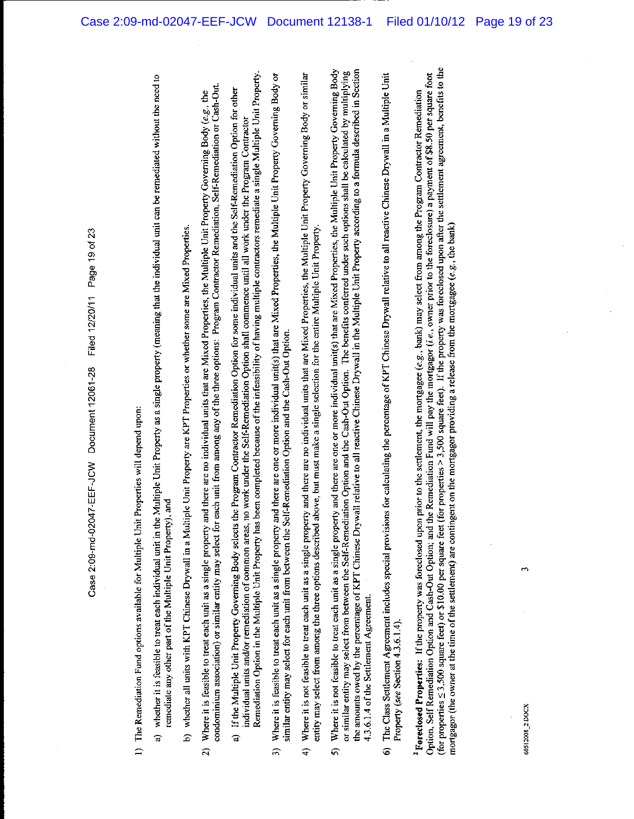| 1) The Remediation Fund options available for Multiple Unit Properties will depend upon:                                                                                                                                                                                                                                                                                                                                                                                                                                                                                                                                                                                                                                |  |
|-------------------------------------------------------------------------------------------------------------------------------------------------------------------------------------------------------------------------------------------------------------------------------------------------------------------------------------------------------------------------------------------------------------------------------------------------------------------------------------------------------------------------------------------------------------------------------------------------------------------------------------------------------------------------------------------------------------------------|--|
| a) whether it is feasible to treat each individual unit in the Multiple Unit Property as a single property (meaning that the individual unit can be remediated without the need to<br>remediate any other part of the Multiple Unit Property), and                                                                                                                                                                                                                                                                                                                                                                                                                                                                      |  |
| b) whether all units with KPT Chinese Drywall in a Multiple Unit Property are KPT Properties or whether some are Mixed Properties.                                                                                                                                                                                                                                                                                                                                                                                                                                                                                                                                                                                      |  |
| condominium association) or similar entity may select for each unit from among any of the three options: Program Contractor Remediation, Self-Remediation or Cash-Out.<br>and there are no individual units that are Mixed Properties, the Multiple Unit Property Governing Body (e.g., the<br>Where it is feasible to treat each unit as a single property<br>ন                                                                                                                                                                                                                                                                                                                                                        |  |
| Remediation Option in the Multiple Unit Property has been completed because of the infeasibility of having multiple contractors remediate a single Multiple Unit Property.<br>If the Multiple Unit Property Governing Body selects the Program Contractor Remediation Option for some individual units and the Self-Remediation Option for other<br>no work under the Self-Remediation Option shall commence until all work under the Program Contractor<br>individual units and/or remediation of common areas,<br>$\overline{a}$                                                                                                                                                                                      |  |
| and there are one or more individual unit(s) that are Mixed Properties, the Multiple Unit Property Governing Body or<br>similar entity may select for each unit from between the Self-Remediation Option and the Cash-Out Option.<br>Where it is feasible to treat each unit as a single property<br>5)                                                                                                                                                                                                                                                                                                                                                                                                                 |  |
| Where it is not feasible to treat each unit as a single property and there are no individual units that are Mixed Properties, the Multiple Unit Property Governing Body or similar<br>above, but must make a single selection for the entire Multiple Unit Property<br>entity may select from among the three options described<br>$\widehat{\mathbf{f}}$                                                                                                                                                                                                                                                                                                                                                               |  |
| the amounts owed by the percentage of KPT Chinese Drywall relative to all reactive Chinese Drywall in the Multiple Unit Property according to a formula described in Section<br>Where it is not feasible to treat each unit as a single property and there are one or more individual unit(s) that are Mixed Properties, the Multiple Unit Property Governing Body<br>or similar entity may select from between the Self-Remediation Option and the Cash-Out Option. The benefits conferred under such options shall be calculated by multiplying<br>4.3.6.1.4 of the Settlement Agreement.<br>คิ                                                                                                                       |  |
| 6) The Class Settlement Agreement includes special provisions for calculating the percentage of KPT Chinese Drywall relative to all reactive Chinese Drywall in a Multiple Unit<br>Property (see Section 4.3.6.1.4).                                                                                                                                                                                                                                                                                                                                                                                                                                                                                                    |  |
| (for properties $\leq$ 3,500 square feet) or \$10.00 per square feet (for properties > 3,500 square feet). If the property was foreclosed upon after the settlement agreement, benefits to the<br>Option, Self Remediation Option and Cash-Out Option; and the Remediation Fund will pay the mortgagor (i.e., owner prior to the foreclosure) a payment of \$8.50 per square foot<br><sup>2</sup> Foreclosed Properties: If the property was foreclosed upon prior to the settlement, the mortgagee (e.g., bank) may select from among the Program Contractor Remediation<br>mortgagor (the owner at the time of the settlement) are contingent on the mortgagor providing a release from the mortgage (e.g., the bank) |  |
|                                                                                                                                                                                                                                                                                                                                                                                                                                                                                                                                                                                                                                                                                                                         |  |
| 60512008_2.DOCX                                                                                                                                                                                                                                                                                                                                                                                                                                                                                                                                                                                                                                                                                                         |  |

Case 2:09-md-02047-EEF-JCW Document 12138-1 Filed 01/10/12 Page 19 of 23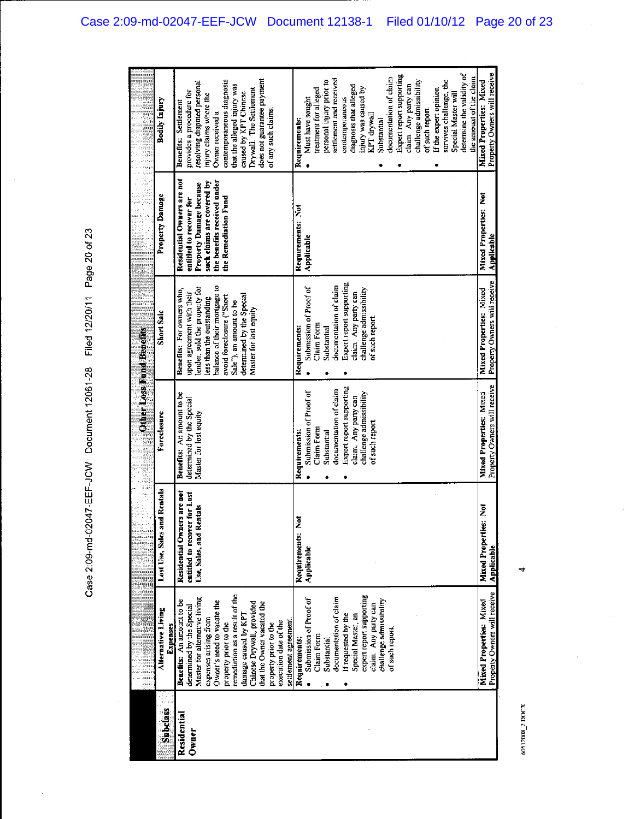|                         |                                                                                                                                                                                                                                                                                                                                                                        |                                                                                       | <b>OtherLoss Fund Benefits</b><br>Ŗ                                                                                                                                                             |                                                                                                                                                                                                                                                                     |                                                                                                                                                                       | R<br>E                                                                                                                                                                                                                                                                                                                                                                                                                                                                              |
|-------------------------|------------------------------------------------------------------------------------------------------------------------------------------------------------------------------------------------------------------------------------------------------------------------------------------------------------------------------------------------------------------------|---------------------------------------------------------------------------------------|-------------------------------------------------------------------------------------------------------------------------------------------------------------------------------------------------|---------------------------------------------------------------------------------------------------------------------------------------------------------------------------------------------------------------------------------------------------------------------|-----------------------------------------------------------------------------------------------------------------------------------------------------------------------|-------------------------------------------------------------------------------------------------------------------------------------------------------------------------------------------------------------------------------------------------------------------------------------------------------------------------------------------------------------------------------------------------------------------------------------------------------------------------------------|
| <b>Subdass</b>          | Alternative Living<br>Expenses                                                                                                                                                                                                                                                                                                                                         | d Rentals<br>Lost Use, Sales an                                                       | Foreclosure                                                                                                                                                                                     | Short Sale                                                                                                                                                                                                                                                          | Property Damage                                                                                                                                                       | Bodily Injury                                                                                                                                                                                                                                                                                                                                                                                                                                                                       |
| Residential<br>$0$ wner | remediation as a result of the<br>Master for alternative living<br>Benefits: An amount to be<br>Owner's need to vacate the<br>Chinese Drywall, provided<br>that the Owner vacated the<br>determined by the Special<br>damage caused by KPT<br>expenses arising from<br>settlement agreement<br>execution date of the<br>property prior to the<br>property prior to the | Residential Owners are not<br>entitled to recover for Lost<br>Use, Sales, and Rentals | Benefits: An amount to be<br>determined by the Special<br>Master for lost equity                                                                                                                | balance of their mortgage to<br>lender, sold the property for<br>Benefits: For owners who,<br>upon agreement with their<br>determined by the Special<br>avoid foreclosure ("Short<br>less than the outstanding<br>Sale"), an amount to be<br>Master for lost equity | Residential Owners are not<br>the benefits received under<br>such claims are covered by<br>Property Damage because<br>the Remediation Fund<br>entitled to recover for | does not guarantee payment<br>contemporaneous diagnosis<br>resolving disputed personal<br>that the alleged injury was<br>Drywall. The Settlement<br>provides a procedure for<br>caused by KPT Chinese<br>injury claims where the<br>Benefits: Settlement<br>of any such claims.<br>Owner received a                                                                                                                                                                                 |
|                         | expert report supporting<br>documentation of claim<br>Submission of Proof of<br>challenge admissibility<br>claim Any party can<br>If requested by the<br>Special Master, an<br>of such report.<br>Claim Form<br>Requirements:<br>Substantial                                                                                                                           | Requirements: Not<br>Applicable                                                       | Expert report supporting<br>documentation of claim<br>Submission of Proof of<br>challenge admissibility<br>claim. Any party can<br>of such report<br>Claim Form<br>Requirements:<br>Substantial | Expert report supporting<br>documentation of claim<br>Submission of Proof of<br>challenge admissibility<br>claim. Any party can<br>of such report.<br>Claim Form<br>Requirements:<br>Substantial                                                                    | Requirements: Not<br>Applicable                                                                                                                                       | determine the validity of<br>Expert report supporting<br>the amount of the claim<br>documentation of claim<br>settlement and received<br>personal injury prior to<br>challenge admissibility<br>survives challenge, the<br>claim. Any party can<br>diagnosis that alleged<br>injury was caused by<br>If the expert opinion<br>treatment for alleged<br>Special Master will<br>contemporaneous<br>Must have sought<br>of such report.<br>KPT drywall<br>Substantial<br>Requirements: |
|                         | Property Owners will receive<br>Mixed Properties: Mixed                                                                                                                                                                                                                                                                                                                | ž<br><b>Mixed Properties:</b><br>Applicable                                           | Property Owners will receive<br>Mixed Properties: Mixed                                                                                                                                         | Property Owners will receive<br>Mixed Properties: Mixed                                                                                                                                                                                                             | <b>Mixed Properties: Not</b><br>Applicable                                                                                                                            | Property Owners will receive<br>Mixed Properties: Mixed                                                                                                                                                                                                                                                                                                                                                                                                                             |

٩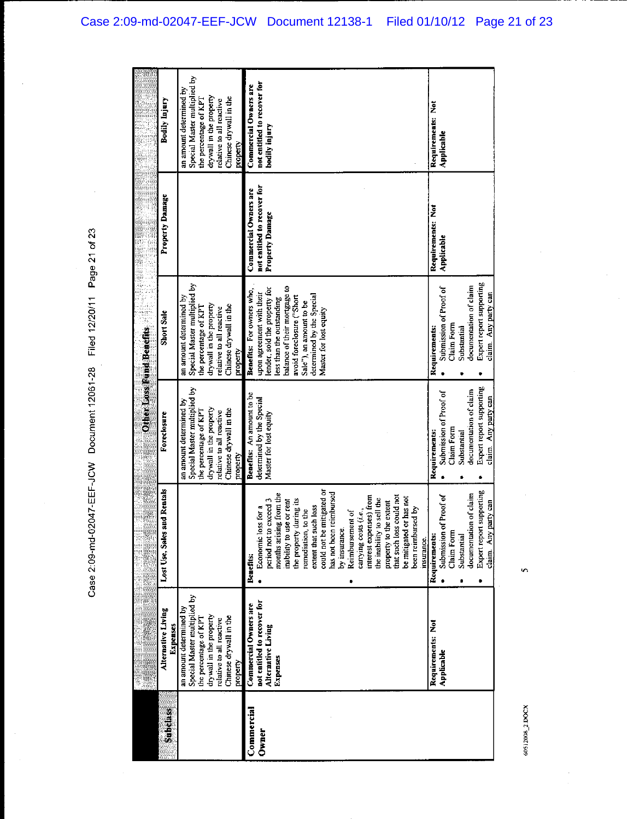Case 2:09-md-02047-EEF-JCW Document 12061-28 Filed 12/20/11 Page 21 of 23

|                     | ę, d                                                                                   | ii.                                                                                                                                                                                                                                                                                                                                                                                                                                                                                                          |                                                                                                                                                    |                                                                                                                                                                                                                                                                     |                                                                                |                                                                                  |
|---------------------|----------------------------------------------------------------------------------------|--------------------------------------------------------------------------------------------------------------------------------------------------------------------------------------------------------------------------------------------------------------------------------------------------------------------------------------------------------------------------------------------------------------------------------------------------------------------------------------------------------------|----------------------------------------------------------------------------------------------------------------------------------------------------|---------------------------------------------------------------------------------------------------------------------------------------------------------------------------------------------------------------------------------------------------------------------|--------------------------------------------------------------------------------|----------------------------------------------------------------------------------|
| <b>Subdiass</b>     | Alternative Living<br>Expenses                                                         | d Rentals<br>Lost Use, Sales an                                                                                                                                                                                                                                                                                                                                                                                                                                                                              | Foreclosure                                                                                                                                        | Short Sale                                                                                                                                                                                                                                                          | Property Damage                                                                | Bodily Injury                                                                    |
|                     | Special Master multiplied by<br>an amount determined by<br>the percentage of KPI       |                                                                                                                                                                                                                                                                                                                                                                                                                                                                                                              | Special Master multiplied by<br>an amount determined by<br>the percentage of KPT                                                                   | Special Master multiplied by<br>an amount determined by<br>the percentage of KPT                                                                                                                                                                                    |                                                                                | Special Master multiplied by<br>an amount determined by<br>the percentage of KPT |
|                     | drywall in the property<br>Chinese drywall in the<br>relative to all reactive          |                                                                                                                                                                                                                                                                                                                                                                                                                                                                                                              | drywall in the property<br>Chinese drywall in the<br>relative to all reactive                                                                      | drywall in the property<br>Chinese drywall in the<br>relative to all reactive                                                                                                                                                                                       |                                                                                | drywall in the property<br>Chinese drywall in the<br>relative to all reactive    |
|                     | property                                                                               |                                                                                                                                                                                                                                                                                                                                                                                                                                                                                                              | property                                                                                                                                           | property                                                                                                                                                                                                                                                            |                                                                                | property                                                                         |
| Commercial<br>Owner | not entitled to recover for<br>Commercial Owners are<br>Alternative Living<br>Expenses | could not be mitigated or<br>has not been reimbursed<br>from the<br>that such loss could not<br>interest expenses) from<br>be mitigated or has not<br>the inability to sell the<br>period not to exceed 3<br>or rent<br>the property during its<br>property to the extent<br>extent that such loss<br>Economic loss for a<br>been reimbursed by<br>remediation, to the<br>carrying costs (i.e.,<br>Reimbursement of<br>months arising<br>inability to use<br>by insurance.<br>insurance.<br><b>Benefits:</b> | Benefits: An amount to be<br>determined by the Special<br>Master for lost equity                                                                   | balance of their mortgage to<br>lender, sold the property for<br>Benefits: For owners who,<br>upon agreement with their<br>determined by the Special<br>avoid foreclosure ("Short<br>less than the outstanding<br>Sale"), an amount to be<br>Master for lost equity | not entitled to recover for<br>Commercial Owners are<br><b>Property Damage</b> | not entitled to recover for<br>Commercial Owners are<br>bodily injury            |
|                     | Requirements: Not<br>Applicable                                                        | Expert report supporting<br>of claim<br>Proof of<br>claim Any party can<br>Submission of<br>documentation<br>Claim Form<br>Requirements:<br>Substantial                                                                                                                                                                                                                                                                                                                                                      | Expert report supporting<br>documentation of claim<br>Submission of Proof of<br>claim. Any party can<br>Claim Form<br>Requirements:<br>Substantial | Expert report supporting<br>documentation of claim<br>Submission of Proof of<br>claim. Any party can<br>Claim Form<br>Requirements:<br>Substantial                                                                                                                  | Requirements: Not<br>Applicable                                                | Requirements: Not<br>Applicable                                                  |

 $\ddot{\mathbf{v}}$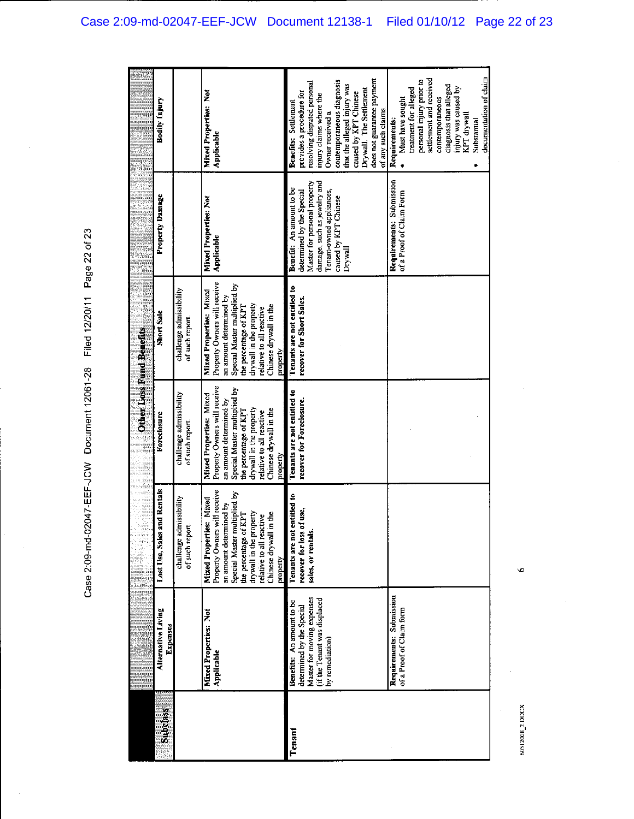Case 2:09-md-02047-EEF-JCW Document 12061-28 Filed 12/20/11 Page 22 of 23

|                 |                                                                                                                                         |                                                                                                                                                                                                                                                     | Ę<br>E<br>E<br>E<br>E<br>E                                                                                                                                                                                                               | Other Loss Rund Benefits                                                                                                                                                                                                                        |                                                                                                                                                                                      |                                                                                                                                                                                                                                                                                                     |
|-----------------|-----------------------------------------------------------------------------------------------------------------------------------------|-----------------------------------------------------------------------------------------------------------------------------------------------------------------------------------------------------------------------------------------------------|------------------------------------------------------------------------------------------------------------------------------------------------------------------------------------------------------------------------------------------|-------------------------------------------------------------------------------------------------------------------------------------------------------------------------------------------------------------------------------------------------|--------------------------------------------------------------------------------------------------------------------------------------------------------------------------------------|-----------------------------------------------------------------------------------------------------------------------------------------------------------------------------------------------------------------------------------------------------------------------------------------------------|
| <b>Subdiass</b> | Alternative Living<br>Expenses                                                                                                          | Lost Use, Sales and Rentals                                                                                                                                                                                                                         | Foreclosure                                                                                                                                                                                                                              | <b>Short Sale</b>                                                                                                                                                                                                                               | Property Damage                                                                                                                                                                      | Bodily Injury                                                                                                                                                                                                                                                                                       |
|                 |                                                                                                                                         | challenge admissibility<br>of such report.                                                                                                                                                                                                          | challenge admissibility<br>of such report.                                                                                                                                                                                               | challenge admissibility<br>of such report.                                                                                                                                                                                                      |                                                                                                                                                                                      |                                                                                                                                                                                                                                                                                                     |
|                 | Mixed Properties: Not<br>Applicable                                                                                                     | Property Owners will receive<br>Special Master multiplied by<br>Mixed<br>an amount determined by<br>the percentage of KPT<br>drywall in the property<br>ă<br>relative to all reactive<br><b>Mixed Properties:</b><br>Chinese drywall in<br>property | Property Owners will receive<br>Special Master multiplied by<br>Mixed Properties: Mixed<br>an amount determined by<br>drywall in the property<br>Chinese drywall in the<br>the percentage of KPT<br>relative to all reactive<br>property | Property Owners will receive<br>Special Master multiplied by<br>Mixed Properties: Mixed<br>an amount determined by<br>drywall in the property<br>Chinese drywall in the<br>the percentage of KPT<br>relative to all reactive<br><b>Property</b> | Mixed Properties: Not<br>Applicable                                                                                                                                                  | Mixed Properties: Not<br>Applicable                                                                                                                                                                                                                                                                 |
| Tenant          | Master for moving expenses<br>(if the Tenant was displaced<br>Benefits: An amount to be<br>determined by the Special<br>by remediation) | Tenants are not entitled to<br>recover for loss of use,<br>sales, or rentals.                                                                                                                                                                       | Tenants are not entitled to<br>recover for Foreclosure.                                                                                                                                                                                  | Tenants are not entitled to<br>recover for Short Sales.                                                                                                                                                                                         | Master for personal property<br>damage, such as jewelry and<br>Benefit: An amount to be<br>Tenant-owned appliances,<br>determined by the Special<br>caused by KPT Chinese<br>Drywall | does not guarantee payment<br>contemporaneous diagnosis<br>resolving disputed personal<br>that the alleged injury was<br>Drywall. The Settlement<br>provides a procedure for<br>caused by KPT Chinese<br>injury claims where the<br>Benefits: Settlement<br>of any such claims.<br>Owner received a |
|                 | Requirements: Submission<br>of a Proof of Claim form                                                                                    |                                                                                                                                                                                                                                                     |                                                                                                                                                                                                                                          |                                                                                                                                                                                                                                                 | Requirements: Submission<br>of a Proof of Claim Form                                                                                                                                 | documentation of claim<br>settlement and received<br>personal injury prior to<br>diagnosis that alleged<br>injury was caused by<br>treatment for alleged<br>contemporaneous<br>Must have sought<br>KPT drywall<br>Requirements:<br>Substantial                                                      |

60512008\_2.DOCX

 $\ddot{\circ}$